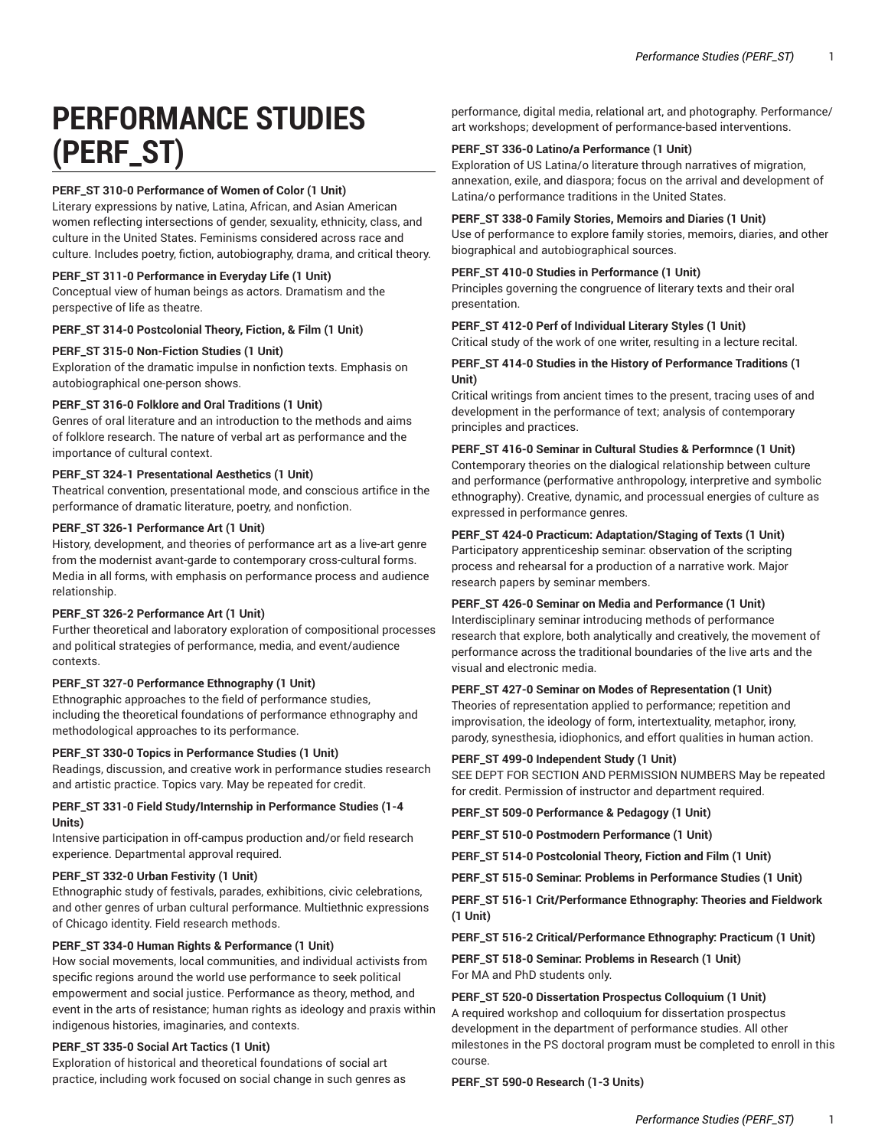# **PERFORMANCE STUDIES (PERF\_ST)**

## **PERF\_ST 310-0 Performance of Women of Color (1 Unit)**

Literary expressions by native, Latina, African, and Asian American women reflecting intersections of gender, sexuality, ethnicity, class, and culture in the United States. Feminisms considered across race and culture. Includes poetry, fiction, autobiography, drama, and critical theory.

#### **PERF\_ST 311-0 Performance in Everyday Life (1 Unit)**

Conceptual view of human beings as actors. Dramatism and the perspective of life as theatre.

## **PERF\_ST 314-0 Postcolonial Theory, Fiction, & Film (1 Unit)**

#### **PERF\_ST 315-0 Non-Fiction Studies (1 Unit)**

Exploration of the dramatic impulse in nonfiction texts. Emphasis on autobiographical one-person shows.

### **PERF\_ST 316-0 Folklore and Oral Traditions (1 Unit)**

Genres of oral literature and an introduction to the methods and aims of folklore research. The nature of verbal art as performance and the importance of cultural context.

#### **PERF\_ST 324-1 Presentational Aesthetics (1 Unit)**

Theatrical convention, presentational mode, and conscious artifice in the performance of dramatic literature, poetry, and nonfiction.

#### **PERF\_ST 326-1 Performance Art (1 Unit)**

History, development, and theories of performance art as a live-art genre from the modernist avant-garde to contemporary cross-cultural forms. Media in all forms, with emphasis on performance process and audience relationship.

#### **PERF\_ST 326-2 Performance Art (1 Unit)**

Further theoretical and laboratory exploration of compositional processes and political strategies of performance, media, and event/audience contexts.

#### **PERF\_ST 327-0 Performance Ethnography (1 Unit)**

Ethnographic approaches to the field of performance studies, including the theoretical foundations of performance ethnography and methodological approaches to its performance.

#### **PERF\_ST 330-0 Topics in Performance Studies (1 Unit)**

Readings, discussion, and creative work in performance studies research and artistic practice. Topics vary. May be repeated for credit.

#### **PERF\_ST 331-0 Field Study/Internship in Performance Studies (1-4 Units)**

Intensive participation in off-campus production and/or field research experience. Departmental approval required.

#### **PERF\_ST 332-0 Urban Festivity (1 Unit)**

Ethnographic study of festivals, parades, exhibitions, civic celebrations, and other genres of urban cultural performance. Multiethnic expressions of Chicago identity. Field research methods.

#### **PERF\_ST 334-0 Human Rights & Performance (1 Unit)**

How social movements, local communities, and individual activists from specific regions around the world use performance to seek political empowerment and social justice. Performance as theory, method, and event in the arts of resistance; human rights as ideology and praxis within indigenous histories, imaginaries, and contexts.

#### **PERF\_ST 335-0 Social Art Tactics (1 Unit)**

Exploration of historical and theoretical foundations of social art practice, including work focused on social change in such genres as performance, digital media, relational art, and photography. Performance/ art workshops; development of performance-based interventions.

#### **PERF\_ST 336-0 Latino/a Performance (1 Unit)**

Exploration of US Latina/o literature through narratives of migration, annexation, exile, and diaspora; focus on the arrival and development of Latina/o performance traditions in the United States.

#### **PERF\_ST 338-0 Family Stories, Memoirs and Diaries (1 Unit)**

Use of performance to explore family stories, memoirs, diaries, and other biographical and autobiographical sources.

## **PERF\_ST 410-0 Studies in Performance (1 Unit)**

Principles governing the congruence of literary texts and their oral presentation.

## **PERF\_ST 412-0 Perf of Individual Literary Styles (1 Unit)**

Critical study of the work of one writer, resulting in a lecture recital.

#### **PERF\_ST 414-0 Studies in the History of Performance Traditions (1 Unit)**

Critical writings from ancient times to the present, tracing uses of and development in the performance of text; analysis of contemporary principles and practices.

#### **PERF\_ST 416-0 Seminar in Cultural Studies & Performnce (1 Unit)**

Contemporary theories on the dialogical relationship between culture and performance (performative anthropology, interpretive and symbolic ethnography). Creative, dynamic, and processual energies of culture as expressed in performance genres.

## **PERF\_ST 424-0 Practicum: Adaptation/Staging of Texts (1 Unit)**

Participatory apprenticeship seminar: observation of the scripting process and rehearsal for a production of a narrative work. Major research papers by seminar members.

#### **PERF\_ST 426-0 Seminar on Media and Performance (1 Unit)**

Interdisciplinary seminar introducing methods of performance research that explore, both analytically and creatively, the movement of performance across the traditional boundaries of the live arts and the visual and electronic media.

#### **PERF\_ST 427-0 Seminar on Modes of Representation (1 Unit)**

Theories of representation applied to performance; repetition and improvisation, the ideology of form, intertextuality, metaphor, irony, parody, synesthesia, idiophonics, and effort qualities in human action.

#### **PERF\_ST 499-0 Independent Study (1 Unit)**

SEE DEPT FOR SECTION AND PERMISSION NUMBERS May be repeated for credit. Permission of instructor and department required.

#### **PERF\_ST 509-0 Performance & Pedagogy (1 Unit)**

**PERF\_ST 510-0 Postmodern Performance (1 Unit)**

**PERF\_ST 514-0 Postcolonial Theory, Fiction and Film (1 Unit)**

**PERF\_ST 515-0 Seminar: Problems in Performance Studies (1 Unit)**

**PERF\_ST 516-1 Crit/Performance Ethnography: Theories and Fieldwork (1 Unit)** 

#### **PERF\_ST 516-2 Critical/Performance Ethnography: Practicum (1 Unit)**

**PERF\_ST 518-0 Seminar: Problems in Research (1 Unit)** For MA and PhD students only.

## **PERF\_ST 520-0 Dissertation Prospectus Colloquium (1 Unit)** A required workshop and colloquium for dissertation prospectus development in the department of performance studies. All other milestones in the PS doctoral program must be completed to enroll in this course.

#### **PERF\_ST 590-0 Research (1-3 Units)**